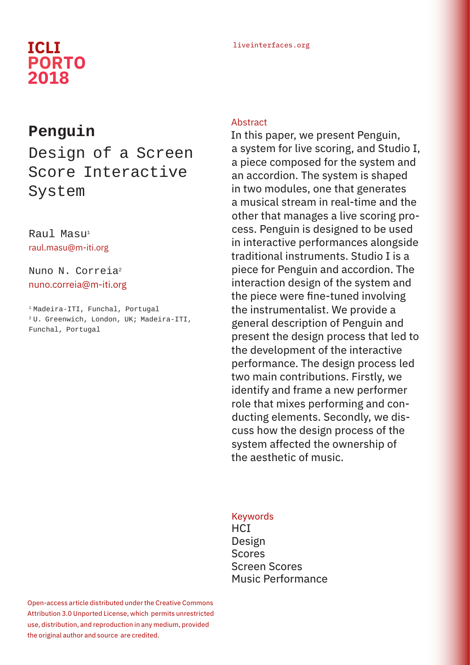## liveinterfaces.org **ICLI PORTO 2018**

## **Penguin**

# Design of a Screen Score Interactive System

## Raul Masu<sup>1</sup> raul.masu@m-iti.org

## Nuno N. Correia2 nuno.correia@m-iti.org

1 Madeira-ITI, Funchal, Portugal 2 U. Greenwich, London, UK; Madeira-ITI, Funchal, Portugal

#### Abstract

In this paper, we present Penguin, a system for live scoring, and Studio I, a piece composed for the system and an accordion. The system is shaped in two modules, one that generates a musical stream in real-time and the other that manages a live scoring process. Penguin is designed to be used in interactive performances alongside traditional instruments. Studio I is a piece for Penguin and accordion. The interaction design of the system and the piece were fine-tuned involving the instrumentalist. We provide a general description of Penguin and present the design process that led to the development of the interactive performance. The design process led two main contributions. Firstly, we identify and frame a new performer role that mixes performing and conducting elements. Secondly, we discuss how the design process of the system affected the ownership of the aesthetic of music.

#### Keywords

**HCI** Design Scores Screen Scores Music Performance

Open-access article distributed under the Creative Commons Attribution 3.0 Unported License, which permits unrestricted use, distribution, and reproduction in any medium, provided the original author and source are credited.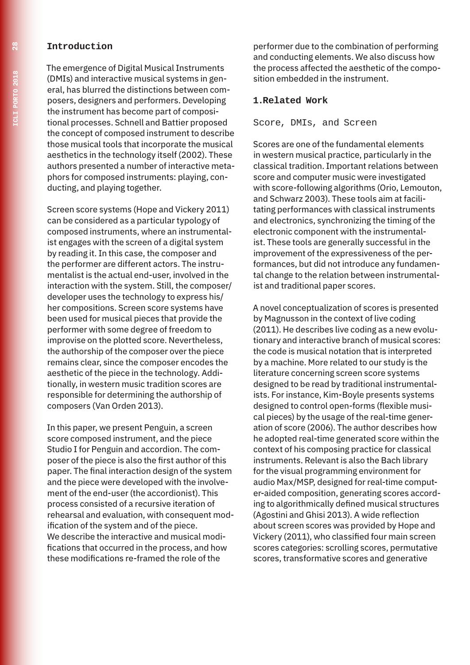#### **Introduction**

The emergence of Digital Musical Instruments (DMIs) and interactive musical systems in general, has blurred the distinctions between composers, designers and performers. Developing the instrument has become part of compositional processes. Schnell and Battier proposed the concept of composed instrument to describe those musical tools that incorporate the musical aesthetics in the technology itself (2002). These authors presented a number of interactive metaphors for composed instruments: playing, conducting, and playing together.

Screen score systems (Hope and Vickery 2011) can be considered as a particular typology of composed instruments, where an instrumentalist engages with the screen of a digital system by reading it. In this case, the composer and the performer are different actors. The instrumentalist is the actual end-user, involved in the interaction with the system. Still, the composer/ developer uses the technology to express his/ her compositions. Screen score systems have been used for musical pieces that provide the performer with some degree of freedom to improvise on the plotted score. Nevertheless, the authorship of the composer over the piece remains clear, since the composer encodes the aesthetic of the piece in the technology. Additionally, in western music tradition scores are responsible for determining the authorship of composers (Van Orden 2013).

In this paper, we present Penguin, a screen score composed instrument, and the piece Studio I for Penguin and accordion. The composer of the piece is also the first author of this paper. The final interaction design of the system and the piece were developed with the involvement of the end-user (the accordionist). This process consisted of a recursive iteration of rehearsal and evaluation, with consequent modification of the system and of the piece. We describe the interactive and musical modifications that occurred in the process, and how these modifications re-framed the role of the

performer due to the combination of performing and conducting elements. We also discuss how the process affected the aesthetic of the composition embedded in the instrument.

#### **1.Related Work**

Score, DMIs, and Screen

Scores are one of the fundamental elements in western musical practice, particularly in the classical tradition. Important relations between score and computer music were investigated with score-following algorithms (Orio, Lemouton, and Schwarz 2003). These tools aim at facilitating performances with classical instruments and electronics, synchronizing the timing of the electronic component with the instrumentalist. These tools are generally successful in the improvement of the expressiveness of the performances, but did not introduce any fundamental change to the relation between instrumentalist and traditional paper scores.

A novel conceptualization of scores is presented by Magnusson in the context of live coding (2011). He describes live coding as a new evolutionary and interactive branch of musical scores: the code is musical notation that is interpreted by a machine. More related to our study is the literature concerning screen score systems designed to be read by traditional instrumentalists. For instance, Kim-Boyle presents systems designed to control open-forms (flexible musical pieces) by the usage of the real-time generation of score (2006). The author describes how he adopted real-time generated score within the context of his composing practice for classical instruments. Relevant is also the Bach library for the visual programming environment for audio Max/MSP, designed for real-time computer-aided composition, generating scores according to algorithmically defined musical structures (Agostini and Ghisi 2013). A wide reflection about screen scores was provided by Hope and Vickery (2011), who classified four main screen scores categories: scrolling scores, permutative scores, transformative scores and generative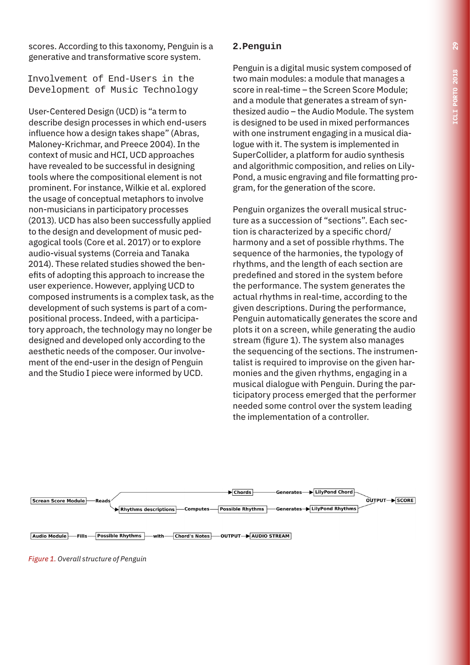scores. According to this taxonomy, Penguin is a generative and transformative score system.

Involvement of End-Users in the Development of Music Technology

User-Centered Design (UCD) is "a term to describe design processes in which end-users influence how a design takes shape" (Abras, Maloney-Krichmar, and Preece 2004). In the context of music and HCI, UCD approaches have revealed to be successful in designing tools where the compositional element is not prominent. For instance, Wilkie et al. explored the usage of conceptual metaphors to involve non-musicians in participatory processes (2013). UCD has also been successfully applied to the design and development of music pedagogical tools (Core et al. 2017) or to explore audio-visual systems (Correia and Tanaka 2014). These related studies showed the benefits of adopting this approach to increase the user experience. However, applying UCD to composed instruments is a complex task, as the development of such systems is part of a compositional process. Indeed, with a participatory approach, the technology may no longer be designed and developed only according to the aesthetic needs of the composer. Our involvement of the end-user in the design of Penguin and the Studio I piece were informed by UCD.

## **2.Penguin**

Penguin is a digital music system composed of two main modules: a module that manages a score in real-time – the Screen Score Module; and a module that generates a stream of synthesized audio – the Audio Module. The system is designed to be used in mixed performances with one instrument engaging in a musical dialogue with it. The system is implemented in SuperCollider, a platform for audio synthesis and algorithmic composition, and relies on Lily-Pond, a music engraving and file formatting program, for the generation of the score.

Penguin organizes the overall musical structure as a succession of "sections". Each section is characterized by a specific chord/ harmony and a set of possible rhythms. The sequence of the harmonies, the typology of rhythms, and the length of each section are predefined and stored in the system before the performance. The system generates the actual rhythms in real-time, according to the given descriptions. During the performance, Penguin automatically generates the score and plots it on a screen, while generating the audio stream (figure 1). The system also manages the sequencing of the sections. The instrumentalist is required to improvise on the given harmonies and the given rhythms, engaging in a musical dialogue with Penguin. During the participatory process emerged that the performer needed some control over the system leading the implementation of a controller.



*Figure 1. Overall structure of Penguin*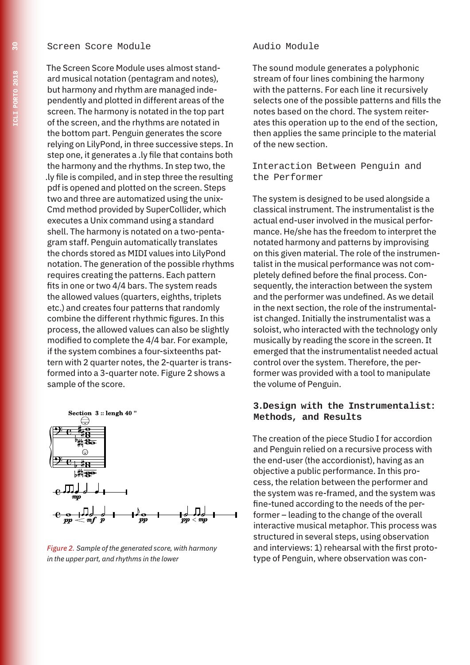#### Screen Score Module

The Screen Score Module uses almost standard musical notation (pentagram and notes), but harmony and rhythm are managed independently and plotted in different areas of the screen. The harmony is notated in the top part of the screen, and the rhythms are notated in the bottom part. Penguin generates the score relying on LilyPond, in three successive steps. In step one, it generates a .ly file that contains both the harmony and the rhythms. In step two, the .ly file is compiled, and in step three the resulting pdf is opened and plotted on the screen. Steps two and three are automatized using the unix-Cmd method provided by SuperCollider, which executes a Unix command using a standard shell. The harmony is notated on a two-pentagram staff. Penguin automatically translates the chords stored as MIDI values into LilyPond notation. The generation of the possible rhythms requires creating the patterns. Each pattern fits in one or two 4/4 bars. The system reads the allowed values (quarters, eighths, triplets etc.) and creates four patterns that randomly combine the different rhythmic figures. In this process, the allowed values can also be slightly modified to complete the 4/4 bar. For example, if the system combines a four-sixteenths pattern with 2 quarter notes, the 2-quarter is transformed into a 3-quarter note. Figure 2 shows a sample of the score.



*Figure 2. Sample of the generated score, with harmony in the upper part, and rhythms in the lower*

#### Audio Module

The sound module generates a polyphonic stream of four lines combining the harmony with the patterns. For each line it recursively selects one of the possible patterns and fills the notes based on the chord. The system reiterates this operation up to the end of the section, then applies the same principle to the material of the new section.

#### Interaction Between Penguin and the Performer

The system is designed to be used alongside a classical instrument. The instrumentalist is the actual end-user involved in the musical performance. He/she has the freedom to interpret the notated harmony and patterns by improvising on this given material. The role of the instrumentalist in the musical performance was not completely defined before the final process. Consequently, the interaction between the system and the performer was undefined. As we detail in the next section, the role of the instrumentalist changed. Initially the instrumentalist was a soloist, who interacted with the technology only musically by reading the score in the screen. It emerged that the instrumentalist needed actual control over the system. Therefore, the performer was provided with a tool to manipulate the volume of Penguin.

#### **3.Design with the Instrumentalist: Methods, and Results**

The creation of the piece Studio I for accordion and Penguin relied on a recursive process with the end-user (the accordionist), having as an objective a public performance. In this process, the relation between the performer and the system was re-framed, and the system was fine-tuned according to the needs of the performer – leading to the change of the overall interactive musical metaphor. This process was structured in several steps, using observation and interviews: 1) rehearsal with the first prototype of Penguin, where observation was con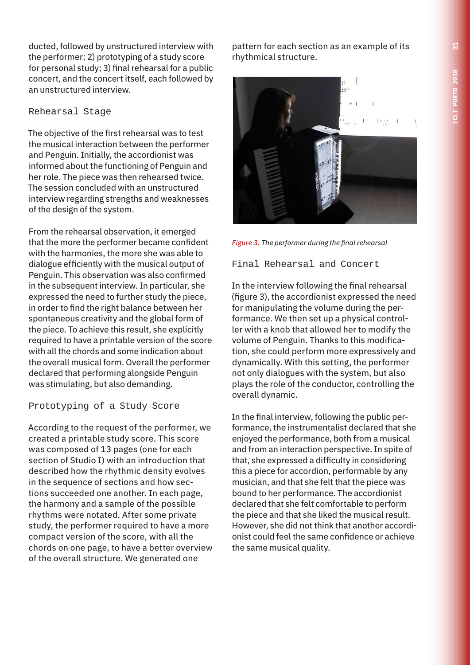ducted, followed by unstructured interview with the performer; 2) prototyping of a study score for personal study; 3) final rehearsal for a public concert, and the concert itself, each followed by an unstructured interview.

## Rehearsal Stage

The objective of the first rehearsal was to test the musical interaction between the performer and Penguin. Initially, the accordionist was informed about the functioning of Penguin and her role. The piece was then rehearsed twice. The session concluded with an unstructured interview regarding strengths and weaknesses of the design of the system.

From the rehearsal observation, it emerged that the more the performer became confident with the harmonies, the more she was able to dialogue efficiently with the musical output of Penguin. This observation was also confirmed in the subsequent interview. In particular, she expressed the need to further study the piece, in order to find the right balance between her spontaneous creativity and the global form of the piece. To achieve this result, she explicitly required to have a printable version of the score with all the chords and some indication about the overall musical form. Overall the performer declared that performing alongside Penguin was stimulating, but also demanding.

## Prototyping of a Study Score

According to the request of the performer, we created a printable study score. This score was composed of 13 pages (one for each section of Studio I) with an introduction that described how the rhythmic density evolves in the sequence of sections and how sections succeeded one another. In each page, the harmony and a sample of the possible rhythms were notated. After some private study, the performer required to have a more compact version of the score, with all the chords on one page, to have a better overview of the overall structure. We generated one

pattern for each section as an example of its rhythmical structure.



*Figure 3. The performer during the final rehearsal* 

## Final Rehearsal and Concert

In the interview following the final rehearsal (figure 3), the accordionist expressed the need for manipulating the volume during the performance. We then set up a physical controller with a knob that allowed her to modify the volume of Penguin. Thanks to this modification, she could perform more expressively and dynamically. With this setting, the performer not only dialogues with the system, but also plays the role of the conductor, controlling the overall dynamic.

In the final interview, following the public performance, the instrumentalist declared that she enjoyed the performance, both from a musical and from an interaction perspective. In spite of that, she expressed a difficulty in considering this a piece for accordion, performable by any musician, and that she felt that the piece was bound to her performance. The accordionist declared that she felt comfortable to perform the piece and that she liked the musical result. However, she did not think that another accordionist could feel the same confidence or achieve the same musical quality.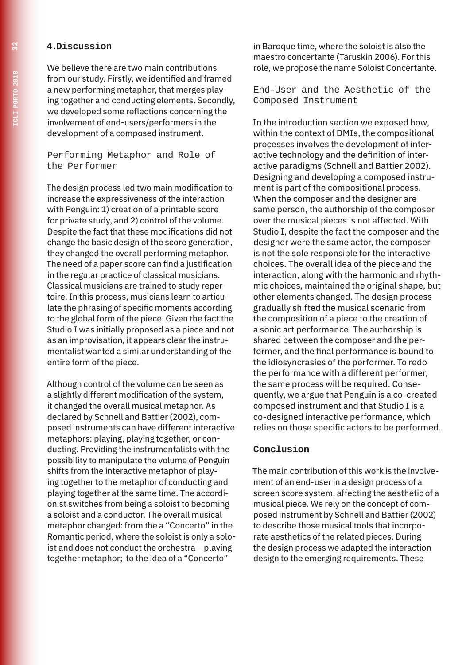#### **4.Discussion**

We believe there are two main contributions from our study. Firstly, we identified and framed a new performing metaphor, that merges playing together and conducting elements. Secondly, we developed some reflections concerning the involvement of end-users/performers in the development of a composed instrument.

#### Performing Metaphor and Role of the Performer

The design process led two main modification to increase the expressiveness of the interaction with Penguin: 1) creation of a printable score for private study, and 2) control of the volume. Despite the fact that these modifications did not change the basic design of the score generation, they changed the overall performing metaphor. The need of a paper score can find a justification in the regular practice of classical musicians. Classical musicians are trained to study repertoire. In this process, musicians learn to articulate the phrasing of specific moments according to the global form of the piece. Given the fact the Studio I was initially proposed as a piece and not as an improvisation, it appears clear the instrumentalist wanted a similar understanding of the entire form of the piece.

Although control of the volume can be seen as a slightly different modification of the system, it changed the overall musical metaphor. As declared by Schnell and Battier (2002), composed instruments can have different interactive metaphors: playing, playing together, or conducting. Providing the instrumentalists with the possibility to manipulate the volume of Penguin shifts from the interactive metaphor of playing together to the metaphor of conducting and playing together at the same time. The accordionist switches from being a soloist to becoming a soloist and a conductor. The overall musical metaphor changed: from the a "Concerto" in the Romantic period, where the soloist is only a soloist and does not conduct the orchestra – playing together metaphor; to the idea of a "Concerto"

in Baroque time, where the soloist is also the maestro concertante (Taruskin 2006). For this role, we propose the name Soloist Concertante.

End-User and the Aesthetic of the Composed Instrument

In the introduction section we exposed how, within the context of DMIs, the compositional processes involves the development of interactive technology and the definition of interactive paradigms (Schnell and Battier 2002). Designing and developing a composed instrument is part of the compositional process. When the composer and the designer are same person, the authorship of the composer over the musical pieces is not affected. With Studio I, despite the fact the composer and the designer were the same actor, the composer is not the sole responsible for the interactive choices. The overall idea of the piece and the interaction, along with the harmonic and rhythmic choices, maintained the original shape, but other elements changed. The design process gradually shifted the musical scenario from the composition of a piece to the creation of a sonic art performance. The authorship is shared between the composer and the performer, and the final performance is bound to the idiosyncrasies of the performer. To redo the performance with a different performer, the same process will be required. Consequently, we argue that Penguin is a co-created composed instrument and that Studio I is a co-designed interactive performance, which relies on those specific actors to be performed.

#### **Conclusion**

The main contribution of this work is the involvement of an end-user in a design process of a screen score system, affecting the aesthetic of a musical piece. We rely on the concept of composed instrument by Schnell and Battier (2002) to describe those musical tools that incorporate aesthetics of the related pieces. During the design process we adapted the interaction design to the emerging requirements. These